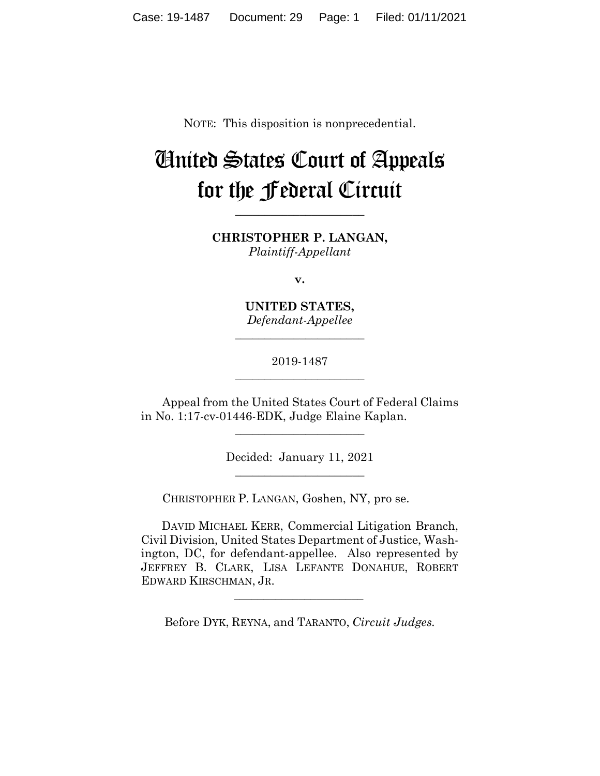NOTE: This disposition is nonprecedential.

# United States Court of Appeals for the Federal Circuit

**CHRISTOPHER P. LANGAN,** *Plaintiff-Appellant*

**\_\_\_\_\_\_\_\_\_\_\_\_\_\_\_\_\_\_\_\_\_\_**

**v.**

**UNITED STATES,** *Defendant-Appellee*

**\_\_\_\_\_\_\_\_\_\_\_\_\_\_\_\_\_\_\_\_\_\_**

2019-1487 **\_\_\_\_\_\_\_\_\_\_\_\_\_\_\_\_\_\_\_\_\_\_**

Appeal from the United States Court of Federal Claims in No. 1:17-cv-01446-EDK, Judge Elaine Kaplan.

\_\_\_\_\_\_\_\_\_\_\_\_\_\_\_\_\_\_\_\_\_\_

Decided: January 11, 2021 \_\_\_\_\_\_\_\_\_\_\_\_\_\_\_\_\_\_\_\_\_\_

CHRISTOPHER P. LANGAN, Goshen, NY, pro se.

 $\mathcal{L}_\text{max}$  and  $\mathcal{L}_\text{max}$  and  $\mathcal{L}_\text{max}$  and  $\mathcal{L}_\text{max}$ 

 DAVID MICHAEL KERR, Commercial Litigation Branch, Civil Division, United States Department of Justice, Washington, DC, for defendant-appellee. Also represented by JEFFREY B. CLARK, LISA LEFANTE DONAHUE, ROBERT EDWARD KIRSCHMAN, JR.

Before DYK, REYNA, and TARANTO, *Circuit Judges.*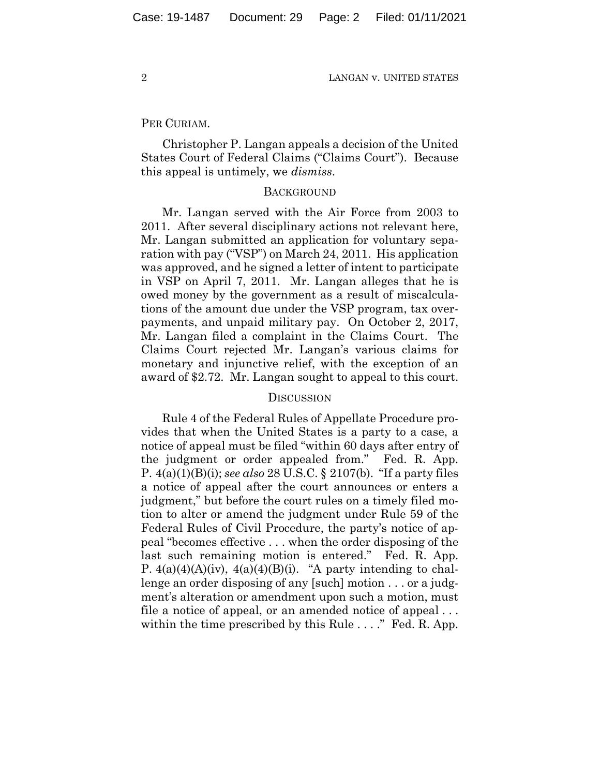2 LANGAN v. UNITED STATES

#### PER CURIAM.

Christopher P. Langan appeals a decision of the United States Court of Federal Claims ("Claims Court"). Because this appeal is untimely, we *dismiss*.

#### **BACKGROUND**

Mr. Langan served with the Air Force from 2003 to 2011. After several disciplinary actions not relevant here, Mr. Langan submitted an application for voluntary separation with pay ("VSP") on March 24, 2011. His application was approved, and he signed a letter of intent to participate in VSP on April 7, 2011. Mr. Langan alleges that he is owed money by the government as a result of miscalculations of the amount due under the VSP program, tax overpayments, and unpaid military pay. On October 2, 2017, Mr. Langan filed a complaint in the Claims Court. The Claims Court rejected Mr. Langan's various claims for monetary and injunctive relief, with the exception of an award of \$2.72. Mr. Langan sought to appeal to this court.

### **DISCUSSION**

Rule 4 of the Federal Rules of Appellate Procedure provides that when the United States is a party to a case, a notice of appeal must be filed "within 60 days after entry of the judgment or order appealed from." Fed. R. App. P. 4(a)(1)(B)(i); *see also* 28 U.S.C. § 2107(b). "If a party files a notice of appeal after the court announces or enters a judgment," but before the court rules on a timely filed motion to alter or amend the judgment under Rule 59 of the Federal Rules of Civil Procedure, the party's notice of appeal "becomes effective . . . when the order disposing of the last such remaining motion is entered." Fed. R. App. P.  $4(a)(4)(A)(iv)$ ,  $4(a)(4)(B)(i)$ . "A party intending to challenge an order disposing of any [such] motion . . . or a judgment's alteration or amendment upon such a motion, must file a notice of appeal, or an amended notice of appeal . . . within the time prescribed by this Rule . . . ." Fed. R. App.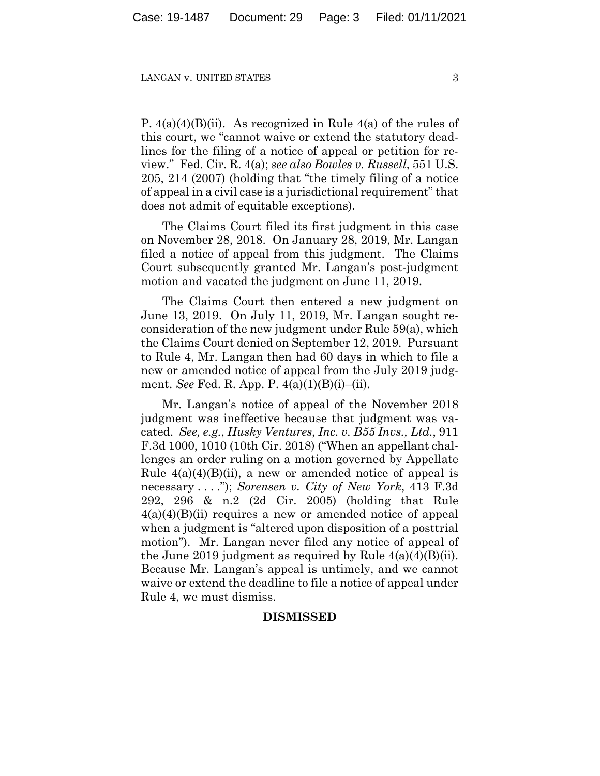#### LANGAN V. UNITED STATES 3

P.  $4(a)(4)(B)(ii)$ . As recognized in Rule  $4(a)$  of the rules of this court, we "cannot waive or extend the statutory deadlines for the filing of a notice of appeal or petition for review." Fed. Cir. R. 4(a); *see also Bowles v. Russell*, 551 U.S. 205, 214 (2007) (holding that "the timely filing of a notice of appeal in a civil case is a jurisdictional requirement" that does not admit of equitable exceptions).

The Claims Court filed its first judgment in this case on November 28, 2018. On January 28, 2019, Mr. Langan filed a notice of appeal from this judgment. The Claims Court subsequently granted Mr. Langan's post-judgment motion and vacated the judgment on June 11, 2019.

The Claims Court then entered a new judgment on June 13, 2019. On July 11, 2019, Mr. Langan sought reconsideration of the new judgment under Rule 59(a), which the Claims Court denied on September 12, 2019. Pursuant to Rule 4, Mr. Langan then had 60 days in which to file a new or amended notice of appeal from the July 2019 judgment. *See* Fed. R. App. P. 4(a)(1)(B)(i)–(ii).

Mr. Langan's notice of appeal of the November 2018 judgment was ineffective because that judgment was vacated. *See, e.g.*, *Husky Ventures, Inc. v. B55 Invs., Ltd.*, 911 F.3d 1000, 1010 (10th Cir. 2018) ("When an appellant challenges an order ruling on a motion governed by Appellate Rule  $4(a)(4)(B)(ii)$ , a new or amended notice of appeal is necessary . . . ."); *Sorensen v. City of New York*, 413 F.3d 292, 296 & n.2 (2d Cir. 2005) (holding that Rule  $4(a)(4)(B)(ii)$  requires a new or amended notice of appeal when a judgment is "altered upon disposition of a posttrial motion"). Mr. Langan never filed any notice of appeal of the June 2019 judgment as required by Rule  $4(a)(4)(B)(ii)$ . Because Mr. Langan's appeal is untimely, and we cannot waive or extend the deadline to file a notice of appeal under Rule 4, we must dismiss.

## **DISMISSED**